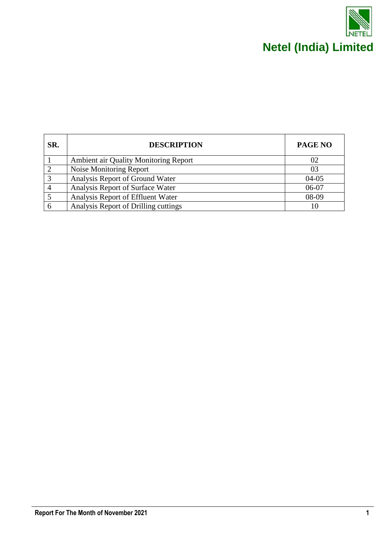

| SR. | <b>DESCRIPTION</b>                    | <b>PAGE NO</b> |
|-----|---------------------------------------|----------------|
|     | Ambient air Quality Monitoring Report | 02             |
|     | Noise Monitoring Report               | 03             |
|     | Analysis Report of Ground Water       | $04 - 05$      |
|     | Analysis Report of Surface Water      | $06-07$        |
|     | Analysis Report of Effluent Water     | 08-09          |
|     | Analysis Report of Drilling cuttings  |                |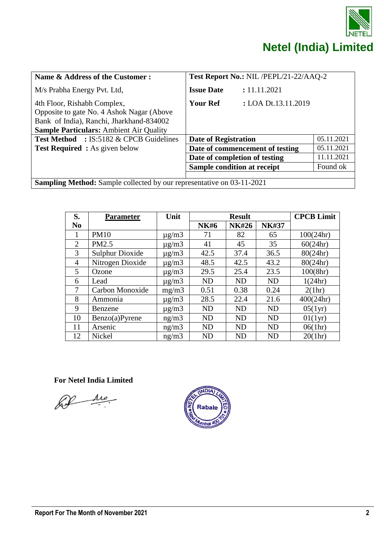

| Name & Address of the Customer:                                                                                                                                        | Test Report No.: NIL /PEPL/21-22/AAQ-2 |                                 |            |  |
|------------------------------------------------------------------------------------------------------------------------------------------------------------------------|----------------------------------------|---------------------------------|------------|--|
| M/s Prabha Energy Pvt. Ltd,                                                                                                                                            | <b>Issue Date</b>                      | : 11.11.2021                    |            |  |
| 4th Floor, Rishabh Complex,<br>Opposite to gate No. 4 Ashok Nagar (Above<br>Bank of India), Ranchi, Jharkhand-834002<br><b>Sample Particulars:</b> Ambient Air Quality | <b>Your Ref</b>                        | : LOA Dt.13.11.2019             |            |  |
| <b>Test Method</b> : IS:5182 & CPCB Guidelines                                                                                                                         | <b>Date of Registration</b>            |                                 | 05.11.2021 |  |
| <b>Test Required:</b> As given below                                                                                                                                   |                                        | Date of commencement of testing | 05.11.2021 |  |
|                                                                                                                                                                        | Date of completion of testing          |                                 | 11.11.2021 |  |
|                                                                                                                                                                        | Sample condition at receipt            |                                 | Found ok   |  |
|                                                                                                                                                                        |                                        |                                 |            |  |
| <b>Sampling Method:</b> Sample collected by our representative on 03-11-2021                                                                                           |                                        |                                 |            |  |

| S.             | Parameter              | Unit          | <b>Result</b> |              |              | <b>CPCB Limit</b> |
|----------------|------------------------|---------------|---------------|--------------|--------------|-------------------|
| N <sub>0</sub> |                        |               | <b>NK#6</b>   | <b>NK#26</b> | <b>NK#37</b> |                   |
| 1              | <b>PM10</b>            | $\mu$ g/m $3$ | 71            | 82           | 65           | 100(24hr)         |
| $\overline{2}$ | PM2.5                  | $\mu$ g/m $3$ | 41            | 45           | 35           | 60(24hr)          |
| 3              | <b>Sulphur Dioxide</b> | $\mu$ g/m $3$ | 42.5          | 37.4         | 36.5         | 80(24hr)          |
| $\overline{4}$ | Nitrogen Dioxide       | $\mu$ g/m $3$ | 48.5          | 42.5         | 43.2         | 80(24hr)          |
| 5              | Ozone                  | $\mu$ g/m $3$ | 29.5          | 25.4         | 23.5         | 100(8hr)          |
| 6              | Lead                   | $\mu$ g/m $3$ | <b>ND</b>     | <b>ND</b>    | <b>ND</b>    | 1(24hr)           |
| 7              | Carbon Monoxide        | mg/m3         | 0.51          | 0.38         | 0.24         | 2(1hr)            |
| 8              | Ammonia                | $\mu$ g/m $3$ | 28.5          | 22.4         | 21.6         | 400(24hr)         |
| 9              | Benzene                | $\mu$ g/m $3$ | <b>ND</b>     | ND           | <b>ND</b>    | 05(1yr)           |
| 10             | Benzo(a)Pyrene         | ng/m3         | <b>ND</b>     | <b>ND</b>    | <b>ND</b>    | 01(1yr)           |
| 11             | Arsenic                | ng/m3         | <b>ND</b>     | <b>ND</b>    | <b>ND</b>    | 06(1hr)           |
| 12             | Nickel                 | ng/m3         | <b>ND</b>     | <b>ND</b>    | <b>ND</b>    | 20(1hr)           |

De

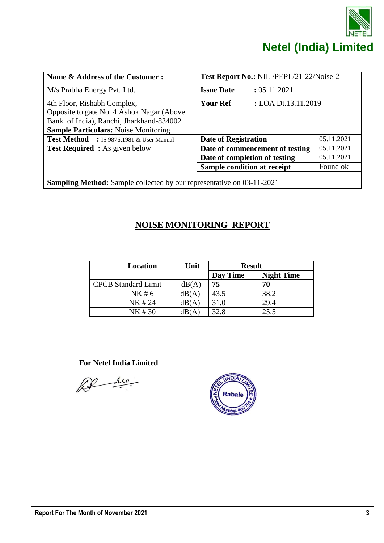

| Name & Address of the Customer:                                                                                                                                     | Test Report No.: NIL /PEPL/21-22/Noise-2 |                                 |            |  |
|---------------------------------------------------------------------------------------------------------------------------------------------------------------------|------------------------------------------|---------------------------------|------------|--|
| M/s Prabha Energy Pvt. Ltd,                                                                                                                                         | <b>Issue Date</b>                        | : 05.11.2021                    |            |  |
| 4th Floor, Rishabh Complex,<br>Opposite to gate No. 4 Ashok Nagar (Above<br>Bank of India), Ranchi, Jharkhand-834002<br><b>Sample Particulars:</b> Noise Monitoring | : LOA Dt.13.11.2019<br><b>Your Ref</b>   |                                 |            |  |
| <b>Test Method</b> : IS 9876:1981 & User Manual                                                                                                                     | <b>Date of Registration</b>              |                                 | 05.11.2021 |  |
| <b>Test Required</b> : As given below                                                                                                                               |                                          | Date of commencement of testing | 05.11.2021 |  |
|                                                                                                                                                                     | Date of completion of testing            |                                 | 05.11.2021 |  |
|                                                                                                                                                                     | Sample condition at receipt              |                                 | Found ok   |  |
|                                                                                                                                                                     |                                          |                                 |            |  |
| <b>Sampling Method:</b> Sample collected by our representative on 03-11-2021                                                                                        |                                          |                                 |            |  |

#### **NOISE MONITORING REPORT**

| <b>Location</b>            | Unit  | <b>Result</b> |                   |
|----------------------------|-------|---------------|-------------------|
|                            |       | Day Time      | <b>Night Time</b> |
| <b>CPCB</b> Standard Limit | dB(A) | 75            | 70                |
| NK # 6                     | dB(A) | 43.5          | 38.2              |
| NK #24                     | dB(A) | 31.0          | 29.4              |
| NK #30                     | dB(A) | 32.8          | 25.5              |

 $\frac{\mu}{\mu}$ LP

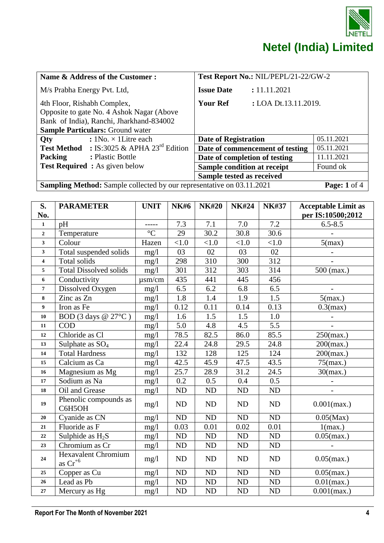

| Name & Address of the Customer:                                                                                                                                 | Test Report No.: NIL/PEPL/21-22/GW-2 |                                 |                         |  |
|-----------------------------------------------------------------------------------------------------------------------------------------------------------------|--------------------------------------|---------------------------------|-------------------------|--|
| M/s Prabha Energy Pvt. Ltd,                                                                                                                                     | <b>Issue Date</b>                    | : 11.11.2021                    |                         |  |
| 4th Floor, Rishabh Complex,<br>Opposite to gate No. 4 Ashok Nagar (Above<br>Bank of India), Ranchi, Jharkhand-834002<br><b>Sample Particulars: Ground water</b> | <b>Your Ref</b>                      | : LOA Dt.13.11.2019.            |                         |  |
| : $1No. \times 1$ Litre each<br><b>Oty</b>                                                                                                                      | Date of Registration                 |                                 | 05.11.2021              |  |
| <b>Test Method</b> : IS:3025 & APHA 23 <sup>rd</sup> Edition                                                                                                    |                                      | Date of commencement of testing | 05.11.2021              |  |
| <b>Packing</b><br>: Plastic Bottle                                                                                                                              | Date of completion of testing        |                                 | 11.11.2021              |  |
| <b>Test Required:</b> As given below                                                                                                                            | Sample condition at receipt          |                                 | Found ok                |  |
|                                                                                                                                                                 | Sample tested as received            |                                 |                         |  |
| <b>Sampling Method:</b> Sample collected by our representative on 03.11.2021                                                                                    |                                      |                                 | <b>Page:</b> $1$ of $4$ |  |

| S.<br>No.        | <b>PARAMETER</b>                           | <b>UNIT</b>    | <b>NK#6</b> | <b>NK#20</b> | <b>NK#24</b>      | <b>NK#37</b>     | <b>Acceptable Limit as</b><br>per IS:10500;2012 |
|------------------|--------------------------------------------|----------------|-------------|--------------|-------------------|------------------|-------------------------------------------------|
| $\mathbf{1}$     | pH                                         | -----          | 7.3         | 7.1          | 7.0               | 7.2              | $6.5 - 8.5$                                     |
| $\overline{2}$   | Temperature                                | $\overline{C}$ | 29          | 30.2         | $\overline{30.8}$ | 30.6             |                                                 |
| $\mathbf{3}$     | Colour                                     | Hazen          | < 1.0       | < 1.0        | $<1.0$            | $<1.0$           | $5$ (max)                                       |
| $\mathbf{3}$     | Total suspended solids                     | mg/1           | 03          | 02           | 03                | 02               |                                                 |
| 4                | Total solids                               | mg/1           | 298         | 310          | 300               | 312              |                                                 |
| 5                | Total Dissolved solids                     | mg/l           | 301         | 312          | 303               | 314              | $500$ (max.)                                    |
| 6                | Conductivity                               | $\mu$ sm/cm    | 435         | 441          | 445               | 456              |                                                 |
| $\overline{7}$   | Dissolved Oxygen                           | mg/l           | 6.5         | 6.2          | 6.8               | 6.5              | $\overline{\phantom{a}}$                        |
| 8                | Zinc as Zn                                 | mg/1           | 1.8         | 1.4          | 1.9               | $\overline{1.5}$ | $5$ (max.)                                      |
| $\boldsymbol{9}$ | Iron as Fe                                 | mg/1           | 0.12        | 0.11         | 0.14              | 0.13             | $0.3$ (max)                                     |
| 10               | BOD (3 days $@ 27°C$ )                     | mg/l           | 1.6         | 1.5          | 1.5               | 1.0              |                                                 |
| 11               | <b>COD</b>                                 | mg/1           | 5.0         | 4.8          | 4.5               | 5.5              |                                                 |
| 12               | Chloride as Cl                             | mg/l           | 78.5        | 82.5         | 86.0              | 85.5             | $250$ (max.)                                    |
| 13               | Sulphate as $SO_4$                         | mg/l           | 22.4        | 24.8         | 29.5              | 24.8             | $200$ (max.)                                    |
| 14               | <b>Total Hardness</b>                      | mg/l           | 132         | 128          | 125               | 124              | $200$ (max.)                                    |
| 15               | Calcium as Ca                              | mg/l           | 42.5        | 45.9         | 47.5              | 43.5             | $75$ (max.)                                     |
| 16               | Magnesium as Mg                            | mg/1           | 25.7        | 28.9         | 31.2              | 24.5             | $30$ (max.)                                     |
| 17               | Sodium as Na                               | mg/l           | 0.2         | 0.5          | 0.4               | 0.5              |                                                 |
| 18               | Oil and Grease                             | mg/1           | ${\rm ND}$  | ND           | ND                | ND               |                                                 |
| 19               | Phenolic compounds as<br>C6H5OH            | mg/l           | ND          | ND           | ND                | ND               | $0.001$ (max.)                                  |
| 20               | Cyanide as CN                              | mg/1           | $\rm ND$    | ND           | ND                | ND               | $0.05$ (Max)                                    |
| ${\bf 21}$       | Fluoride as F                              | mg/1           | 0.03        | 0.01         | 0.02              | 0.01             | 1(max.)                                         |
| $\bf{22}$        | Sulphide as $H_2S$                         | mg/1           | ND          | ND           | ND                | ND               | $0.05$ (max.)                                   |
| 23               | Chromium as Cr                             | mg/l           | ND          | ND           | ND                | ND               |                                                 |
| 24               | <b>Hexavalent Chromium</b><br>as $Cr^{+6}$ | mg/1           | ND          | ND           | ND                | <b>ND</b>        | $0.05$ (max.)                                   |
| 25               | Copper as Cu                               | mg/1           | ND          | ND           | <b>ND</b>         | <b>ND</b>        | $0.05$ (max.)                                   |
| 26               | Lead as Pb                                 | mg/1           | $\rm ND$    | $\rm ND$     | ${\rm ND}$        | ND               | $0.01$ (max.)                                   |
| 27               | Mercury as Hg                              | mg/l           | ND          | ND           | ND                | ND               | $0.001$ (max.)                                  |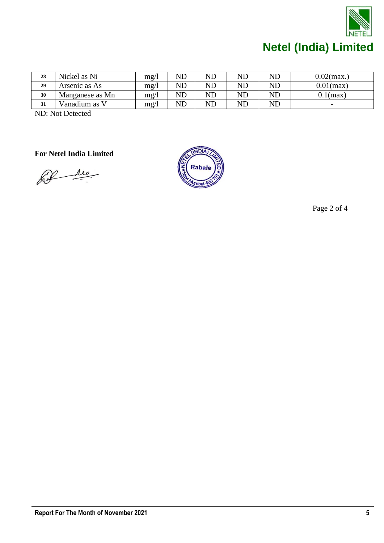

| 28 | Nickel as Ni    | mg/1 | $\mathop{\rm ND}\nolimits$ | $\rm ND$ | $\mathop{\rm ND}\nolimits$ | ND | $0.02$ (max.)            |
|----|-----------------|------|----------------------------|----------|----------------------------|----|--------------------------|
| 29 | Arsenic as As   | mg/l | $\mathop{\rm ND}\nolimits$ | $\rm ND$ | $\mathop{\rm ND}\nolimits$ | ND | $0.01$ (max)             |
| 30 | Manganese as Mn | mg/1 | $\mathop{\rm ND}\nolimits$ | $\rm ND$ | $\mathop{\rm ND}\nolimits$ | ND | $0.1$ (max)              |
| 31 | Vanadium as V   | mg/1 | $\rm ND$                   | $\rm ND$ | $\rm ND$                   | ND | $\overline{\phantom{0}}$ |

ND: Not Detected

**For Netel India Limited**

bil ma



Page 2 of 4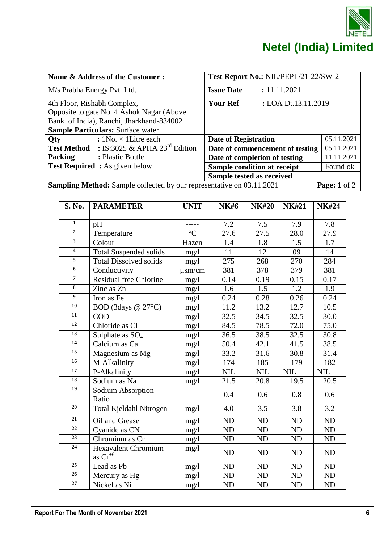

| Name & Address of the Customer:                                                                                                                                  | Test Report No.: NIL/PEPL/21-22/SW-2   |                         |  |  |
|------------------------------------------------------------------------------------------------------------------------------------------------------------------|----------------------------------------|-------------------------|--|--|
| M/s Prabha Energy Pvt. Ltd,                                                                                                                                      | <b>Issue Date</b><br>: 11.11.2021      |                         |  |  |
| 4th Floor, Rishabh Complex,<br>Opposite to gate No. 4 Ashok Nagar (Above<br>Bank of India), Ranchi, Jharkhand-834002<br><b>Sample Particulars: Surface water</b> | <b>Your Ref</b><br>: LOA Dt.13.11.2019 |                         |  |  |
| : $1No. \times 1$ Litre each<br>Qty                                                                                                                              | <b>Date of Registration</b>            | 05.11.2021              |  |  |
| : IS:3025 & APHA $23^{\text{rd}}$ Edition<br><b>Test Method</b>                                                                                                  | Date of commencement of testing        | 05.11.2021              |  |  |
| Packing<br>: Plastic Bottle                                                                                                                                      | Date of completion of testing          | 11.11.2021              |  |  |
| <b>Test Required</b> : As given below                                                                                                                            | Sample condition at receipt            | Found ok                |  |  |
|                                                                                                                                                                  | Sample tested as received              |                         |  |  |
| <b>Sampling Method:</b> Sample collected by our representative on 03.11.2021                                                                                     |                                        | Page: $1 \text{ of } 2$ |  |  |

| <b>S. No.</b>           | <b>PARAMETER</b>                           | <b>UNIT</b>    | <b>NK#6</b> | <b>NK#20</b> | <b>NK#21</b> | <b>NK#24</b> |
|-------------------------|--------------------------------------------|----------------|-------------|--------------|--------------|--------------|
|                         |                                            |                |             |              |              |              |
| $\mathbf{1}$            | pH                                         |                | 7.2         | 7.5          | 7.9          | 7.8          |
| $\overline{2}$          | Temperature                                | $\overline{C}$ | 27.6        | 27.5         | 28.0         | 27.9         |
| $\overline{\mathbf{3}}$ | Colour                                     | Hazen          | 1.4         | 1.8          | 1.5          | 1.7          |
| $\overline{4}$          | <b>Total Suspended solids</b>              | mg/1           | 11          | 12           | 09           | 14           |
| 5                       | <b>Total Dissolved solids</b>              | mg/1           | 275         | 268          | 270          | 284          |
| $\boldsymbol{6}$        | Conductivity                               | $\mu$ sm/cm    | 381         | 378          | 379          | 381          |
| $\overline{7}$          | <b>Residual free Chlorine</b>              | mg/1           | 0.14        | 0.19         | 0.15         | 0.17         |
| $\overline{\bf 8}$      | Zinc as Zn                                 | mg/1           | 1.6         | 1.5          | 1.2          | 1.9          |
| $\overline{9}$          | Iron as Fe                                 | mg/1           | 0.24        | 0.28         | 0.26         | 0.24         |
| $\overline{10}$         | BOD (3days @ 27°C)                         | mg/l           | 11.2        | 13.2         | 12.7         | 10.5         |
| $\overline{11}$         | <b>COD</b>                                 | mg/1           | 32.5        | 34.5         | 32.5         | $30.0$       |
| 12                      | Chloride as Cl                             | mg/1           | 84.5        | 78.5         | 72.0         | 75.0         |
| 13                      | Sulphate as $SO_4$                         | mg/1           | 36.5        | 38.5         | 32.5         | 30.8         |
| $\overline{14}$         | Calcium as Ca                              | mg/1           | 50.4        | 42.1         | 41.5         | 38.5         |
| 15                      | Magnesium as Mg                            | mg/1           | 33.2        | 31.6         | 30.8         | 31.4         |
| 16                      | M-Alkalinity                               | mg/l           | 174         | 185          | 179          | 182          |
| $\overline{17}$         | P-Alkalinity                               | mg/l           | <b>NIL</b>  | <b>NIL</b>   | <b>NIL</b>   | <b>NIL</b>   |
| 18                      | Sodium as Na                               | mg/1           | 21.5        | 20.8         | 19.5         | 20.5         |
| 19                      | Sodium Absorption                          |                | 0.4         | 0.6          | 0.8          | 0.6          |
|                         | Ratio                                      |                |             |              |              |              |
| 20                      | Total Kjeldahl Nitrogen                    | mg/1           | 4.0         | 3.5          | 3.8          | 3.2          |
| $\overline{21}$         | Oil and Grease                             | mg/1           | <b>ND</b>   | <b>ND</b>    | <b>ND</b>    | ND           |
| 22                      | Cyanide as CN                              | mg/1           | ND          | ND           | ND           | ND           |
| 23                      | Chromium as Cr                             | mg/1           | <b>ND</b>   | ND           | <b>ND</b>    | ND           |
| $\overline{24}$         | <b>Hexavalent Chromium</b><br>as $Cr^{+6}$ | mg/l           | <b>ND</b>   | <b>ND</b>    | <b>ND</b>    | ND           |
| 25                      | Lead as Pb                                 | mg/1           | <b>ND</b>   | <b>ND</b>    | ND           | <b>ND</b>    |
| 26                      | Mercury as Hg                              | mg/l           | <b>ND</b>   | <b>ND</b>    | <b>ND</b>    | <b>ND</b>    |
| 27                      | Nickel as Ni                               | mg/1           | <b>ND</b>   | <b>ND</b>    | <b>ND</b>    | <b>ND</b>    |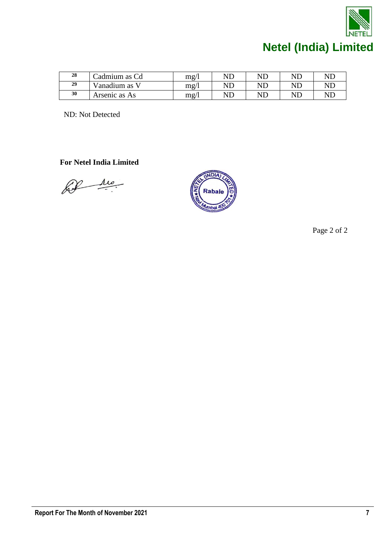

| 28 | Cadmium as Cd | mg/l | $\sf{NL}$ | $\rm {NL}$ | $\rm {N}D$ | <b>NL</b> |
|----|---------------|------|-----------|------------|------------|-----------|
| 29 | Vanadium as V | mg/l | $\sf NL$  | $\rm ND$   | <b>ND</b>  | <b>ND</b> |
| 30 | Arsenic as As | mg/1 | $\sf NL$  | ND         | <b>ND</b>  | <b>NL</b> |

ND: Not Detected

 **For Netel India Limited**

Let the



Page 2 of 2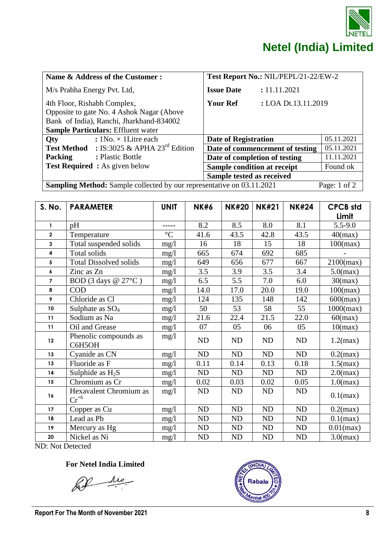

| Name & Address of the Customer:                                                                                                                                   | Test Report No.: NIL/PEPL/21-22/EW-2   |                                 |            |
|-------------------------------------------------------------------------------------------------------------------------------------------------------------------|----------------------------------------|---------------------------------|------------|
| M/s Prabha Energy Pvt. Ltd,                                                                                                                                       | <b>Issue Date</b>                      | : 11.11.2021                    |            |
| 4th Floor, Rishabh Complex,<br>Opposite to gate No. 4 Ashok Nagar (Above<br>Bank of India), Ranchi, Jharkhand-834002<br><b>Sample Particulars: Effluent water</b> | : LOA Dt.13.11.2019<br><b>Your Ref</b> |                                 |            |
| : $1No. \times 1$ Litre each<br>Qty                                                                                                                               | Date of Registration                   |                                 | 05.11.2021 |
| : IS:3025 & APHA 23 <sup>rd</sup> Edition<br><b>Test Method</b>                                                                                                   |                                        | Date of commencement of testing | 05.11.2021 |
| <b>Packing</b><br>: Plastic Bottle                                                                                                                                | Date of completion of testing          |                                 | 11.11.2021 |
| <b>Test Required:</b> As given below                                                                                                                              | Sample condition at receipt            |                                 | Found ok   |
|                                                                                                                                                                   | Sample tested as received              |                                 |            |
| <b>Sampling Method:</b> Sample collected by our representative on 03.11.2021<br>Page: $1$ of $2$                                                                  |                                        |                                 |            |

| S. No.                                                                                                                                                                                                                                                                                                                                   | <b>PARAMETER</b>                    | <b>UNIT</b>     | <b>NK#6</b> | <b>NK#20</b> | <b>NK#21</b> | <b>NK#24</b> | <b>CPCB std</b> |
|------------------------------------------------------------------------------------------------------------------------------------------------------------------------------------------------------------------------------------------------------------------------------------------------------------------------------------------|-------------------------------------|-----------------|-------------|--------------|--------------|--------------|-----------------|
|                                                                                                                                                                                                                                                                                                                                          |                                     |                 |             |              |              |              | Limit           |
| $\mathbf{1}$                                                                                                                                                                                                                                                                                                                             | pH                                  | -----           | 8.2         | 8.5          | 8.0          | 8.1          | $5.5 - 9.0$     |
| $\overline{\mathbf{2}}$                                                                                                                                                                                                                                                                                                                  | Temperature                         | $\rm ^{\circ}C$ | 41.6        | 43.5         | 42.8         | 43.5         | $40$ (max)      |
| 3                                                                                                                                                                                                                                                                                                                                        | Total suspended solids              | mg/1            | 16          | 18           | 15           | 18           | $100$ (max)     |
| 4                                                                                                                                                                                                                                                                                                                                        | Total solids                        | mg/1            | 665         | 674          | 692          | 685          |                 |
| 5                                                                                                                                                                                                                                                                                                                                        | <b>Total Dissolved solids</b>       | mg/1            | 649         | 656          | 677          | 667          | $2100$ (max)    |
| 6                                                                                                                                                                                                                                                                                                                                        | Zinc as Zn                          | mg/l            | 3.5         | 3.9          | 3.5          | 3.4          | $5.0$ (max)     |
| $\overline{7}$                                                                                                                                                                                                                                                                                                                           | BOD (3 days @ 27°C)                 | mg/1            | 6.5         | 5.5          | 7.0          | 6.0          | 30(max)         |
| 8                                                                                                                                                                                                                                                                                                                                        | <b>COD</b>                          | mg/1            | 14.0        | 17.0         | 20.0         | 19.0         | $100$ (max)     |
| 9                                                                                                                                                                                                                                                                                                                                        | Chloride as Cl                      | mg/1            | 124         | 135          | 148          | 142          | $600$ (max)     |
| $10\,$                                                                                                                                                                                                                                                                                                                                   | Sulphate as $SO_4$                  | mg/1            | 50          | 53           | 58           | 55           | $1000$ (max)    |
| 11                                                                                                                                                                                                                                                                                                                                       | Sodium as Na                        | mg/1            | 21.6        | 22.4         | 21.5         | 22.0         | $60$ (max)      |
| 11                                                                                                                                                                                                                                                                                                                                       | Oil and Grease                      | mg/1            | 07          | 05           | 06           | 05           | 10(max)         |
| 12                                                                                                                                                                                                                                                                                                                                       | Phenolic compounds as<br>C6H5OH     | mg/1            | ND          | ND           | ND           | ND           | $1.2$ (max)     |
| 13                                                                                                                                                                                                                                                                                                                                       | Cyanide as CN                       | mg/1            | ND          | ND           | ND           | ND           | $0.2$ (max)     |
| 13                                                                                                                                                                                                                                                                                                                                       | Fluoride as F                       | mg/1            | 0.11        | 0.14         | 0.13         | 0.18         | $1.5$ (max)     |
| 14                                                                                                                                                                                                                                                                                                                                       | Sulphide as $H_2S$                  | mg/1            | ND          | ND           | ND           | ND           | $2.0$ (max)     |
| 15                                                                                                                                                                                                                                                                                                                                       | Chromium as Cr                      | mg/1            | 0.02        | 0.03         | 0.02         | 0.05         | $1.0$ (max)     |
| 16                                                                                                                                                                                                                                                                                                                                       | Hexavalent Chromium as<br>$Cr^{+6}$ | mg/1            | ND          | ND           | ND           | ND           | $0.1$ (max)     |
| 17                                                                                                                                                                                                                                                                                                                                       | Copper as Cu                        | mg/l            | ND          | ND           | ND           | ${\rm ND}$   | $0.2$ (max)     |
| 18                                                                                                                                                                                                                                                                                                                                       | Lead as Pb                          | mg/1            | <b>ND</b>   | ND           | ND           | <b>ND</b>    | $0.1$ (max)     |
| 19                                                                                                                                                                                                                                                                                                                                       | Mercury as Hg                       | mg/1            | ND          | ND           | ND           | ND           | $0.01$ (max)    |
| 20<br>$\mathbf{M}$ $\mathbf{M}$ $\mathbf{N}$ $\mathbf{N}$ $\mathbf{N}$ $\mathbf{N}$ $\mathbf{N}$ $\mathbf{N}$ $\mathbf{N}$ $\mathbf{N}$ $\mathbf{N}$ $\mathbf{N}$ $\mathbf{N}$ $\mathbf{N}$ $\mathbf{N}$ $\mathbf{N}$ $\mathbf{N}$ $\mathbf{N}$ $\mathbf{N}$ $\mathbf{N}$ $\mathbf{N}$ $\mathbf{N}$ $\mathbf{N}$ $\mathbf{N}$ $\mathbf{$ | Nickel as Ni                        | mg/l            | ND          | ND           | <b>ND</b>    | ND           | $3.0$ (max)     |

ND: Not Detected

 $\mu$ Lo

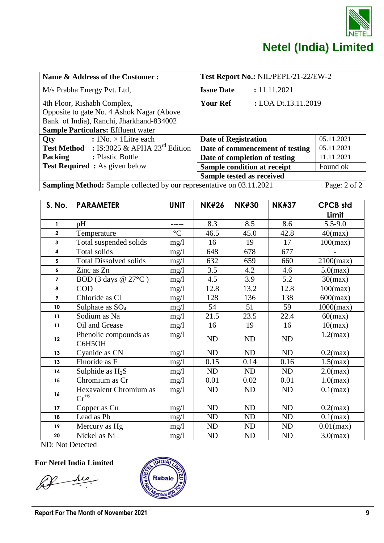

| Name & Address of the Customer:                                                                                                                                   |                                                              | Test Report No.: NIL/PEPL/21-22/EW-2 |                     |              |  |
|-------------------------------------------------------------------------------------------------------------------------------------------------------------------|--------------------------------------------------------------|--------------------------------------|---------------------|--------------|--|
| M/s Prabha Energy Pvt. Ltd,                                                                                                                                       |                                                              | <b>Issue Date</b>                    | : 11.11.2021        |              |  |
| 4th Floor, Rishabh Complex,<br>Opposite to gate No. 4 Ashok Nagar (Above<br>Bank of India), Ranchi, Jharkhand-834002<br><b>Sample Particulars: Effluent water</b> |                                                              | <b>Your Ref</b>                      | : LOA Dt.13.11.2019 |              |  |
| Qty                                                                                                                                                               | : $1No. \times 1$ Litre each                                 | <b>Date of Registration</b>          |                     | 05.11.2021   |  |
|                                                                                                                                                                   | <b>Test Method</b> : IS:3025 & APHA 23 <sup>rd</sup> Edition | Date of commencement of testing      | 05.11.2021          |              |  |
| Packing                                                                                                                                                           | : Plastic Bottle                                             | Date of completion of testing        |                     | 11.11.2021   |  |
| <b>Test Required:</b> As given below                                                                                                                              |                                                              | Sample condition at receipt          |                     | Found ok     |  |
|                                                                                                                                                                   |                                                              | Sample tested as received            |                     |              |  |
| <b>Sampling Method:</b> Sample collected by our representative on 03.11.2021                                                                                      |                                                              |                                      |                     | Page: 2 of 2 |  |

| S. No.                                   | <b>PARAMETER</b>                                  | <b>UNIT</b>     | <b>NK#26</b> | <b>NK#30</b> | <b>NK#37</b> | <b>CPCB</b> std<br>Limit |
|------------------------------------------|---------------------------------------------------|-----------------|--------------|--------------|--------------|--------------------------|
| $\mathbf{1}$                             | pH                                                |                 | 8.3          | 8.5          | 8.6          | $5.5 - 9.0$              |
| $\overline{\mathbf{2}}$                  | Temperature                                       | $\rm ^{\circ}C$ | 46.5         | 45.0         | 42.8         | $40$ (max)               |
| 3                                        | Total suspended solids                            | mg/1            | 16           | 19           | 17           | 100(max)                 |
| 4                                        | Total solids                                      | mg/1            | 648          | 678          | 677          |                          |
| 5                                        | <b>Total Dissolved solids</b>                     | mg/1            | 632          | 659          | 660          | $2100$ (max)             |
| 6                                        | Zinc as Zn                                        | mg/1            | 3.5          | 4.2          | 4.6          | $5.0$ (max)              |
| $\overline{7}$                           | BOD (3 days @ 27°C)                               | mg/1            | 4.5          | 3.9          | 5.2          | $30$ (max)               |
| 8                                        | <b>COD</b>                                        | mg/1            | 12.8         | 13.2         | 12.8         | 100(max)                 |
| 9                                        | Chloride as Cl                                    | mg/1            | 128          | 136          | 138          | $600$ (max)              |
| 10                                       | Sulphate as $SO_4$                                | mg/1            | 54           | 51           | 59           | $1000$ (max)             |
| 11                                       | Sodium as Na                                      | mg/1            | 21.5         | 23.5         | 22.4         | $60$ (max)               |
| 11                                       | Oil and Grease                                    | mg/1            | 16           | 19           | 16           | 10(max)                  |
| 12                                       | Phenolic compounds as<br>C6H5OH                   | mg/1            | <b>ND</b>    | ND           | ND           | $1.2$ (max)              |
| 13                                       | Cyanide as CN                                     | mg/1            | ND           | ND           | <b>ND</b>    | $0.2$ (max)              |
| 13                                       | Fluoride as F                                     | mg/1            | 0.15         | 0.14         | 0.16         | $1.5$ (max)              |
| 14                                       | Sulphide as $H_2S$                                | mg/1            | ND           | ND           | ND           | $2.0$ (max)              |
| 15                                       | Chromium as Cr                                    | mg/1            | 0.01         | 0.02         | 0.01         | $1.0$ (max)              |
| 16                                       | Hexavalent Chromium as<br>$\text{Cr}^{\text{+6}}$ | mg/1            | ND           | ND           | ND           | $0.1$ (max)              |
| 17                                       | Copper as Cu                                      | mg/l            | ND           | ND           | ND           | $0.2$ (max)              |
| 18                                       | Lead as Pb                                        | mg/1            | ND           | ND           | ND           | $0.1$ (max)              |
| 19                                       | Mercury as Hg                                     | mg/1            | ND           | ND           | ND           | $0.01$ (max)             |
| 20<br>$\mathbf{M} \mathbf{D} \mathbf{M}$ | Nickel as Ni                                      | mg/1            | ND           | ND           | ND           | $3.0$ (max)              |

ND: Not Detected

Le